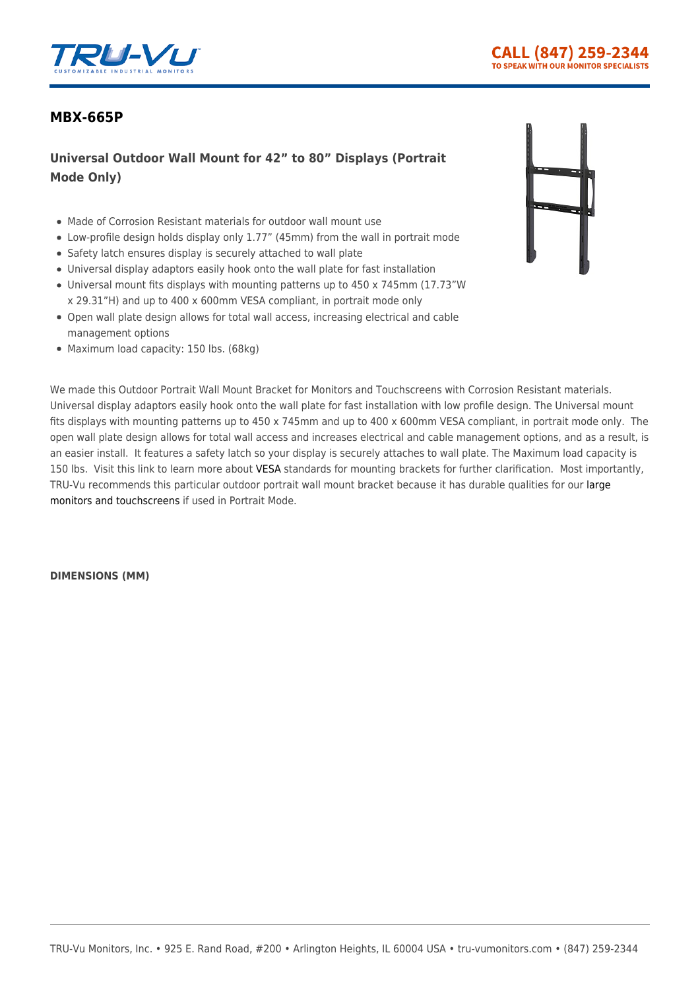

## **[MBX-665P](https://tru-vumonitors.com/products/mbx-665p/)**

## **Universal Outdoor Wall Mount for 42" to 80" Displays (Portrait Mode Only)**

- Made of Corrosion Resistant materials for outdoor wall mount use
- Low-profile design holds display only 1.77" (45mm) from the wall in portrait mode
- Safety latch ensures display is securely attached to wall plate
- Universal display adaptors easily hook onto the wall plate for fast installation
- Universal mount fits displays with mounting patterns up to 450 x 745mm (17.73"W x 29.31"H) and up to 400 x 600mm VESA compliant, in portrait mode only
- Open wall plate design allows for total wall access, increasing electrical and cable management options
- Maximum load capacity: 150 lbs. (68kg)



We made this Outdoor Portrait Wall Mount Bracket for Monitors and Touchscreens with Corrosion Resistant materials. Universal display adaptors easily hook onto the wall plate for fast installation with low profile design. The Universal mount fits displays with mounting patterns up to 450 x 745mm and up to 400 x 600mm VESA compliant, in portrait mode only. The open wall plate design allows for total wall access and increases electrical and cable management options, and as a result, is an easier install. It features a safety latch so your display is securely attaches to wall plate. The Maximum load capacity is 150 lbs. Visit this link to learn more about [VESA](https://vesa.org/) standards for mounting brackets for further clarification. Most importantly, TRU-Vu recommends this particular outdoor portrait wall mount bracket because it has durable qualities for our [large](https://tru-vumonitors.com/products/?_sfm_monitor_range=215to65) [monitors and touchscreens](https://tru-vumonitors.com/products/?_sfm_monitor_range=215to65) if used in Portrait Mode.

**DIMENSIONS (MM)**